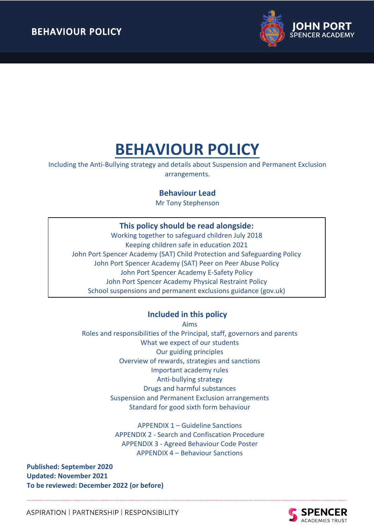

Including the Anti-Bullying strategy and details about Suspension and Permanent Exclusion arrangements.

# **Behaviour Lead**

Mr Tony Stephenson

# **This policy should be read alongside:**

Working together to safeguard children July 2018 Keeping children safe in education 2021 John Port Spencer Academy (SAT) Child Protection and Safeguarding Policy John Port Spencer Academy (SAT) Peer on Peer Abuse Policy John Port Spencer Academy E-Safety Policy John Port Spencer Academy Physical Restraint Policy School suspensions and permanent exclusions guidance (gov.uk)

# **Included in this policy**

Aims

Roles and responsibilities of the Principal, staff, governors and parents What we expect of our students Our guiding principles Overview of rewards, strategies and sanctions Important academy rules Anti-bullying strategy Drugs and harmful substances Suspension and Permanent Exclusion arrangements Standard for good sixth form behaviour

> APPENDIX 1 – Guideline Sanctions APPENDIX 2 - Search and Confiscation Procedure APPENDIX 3 - Agreed Behaviour Code Poster APPENDIX 4 – Behaviour Sanctions

**Published: September 2020 Updated: November 2021 To be reviewed: December 2022 (or before)**

> **SPENCER ACADEMIES TRUST**

ASPIRATION | PARTNERSHIP | RESPONSIBILITY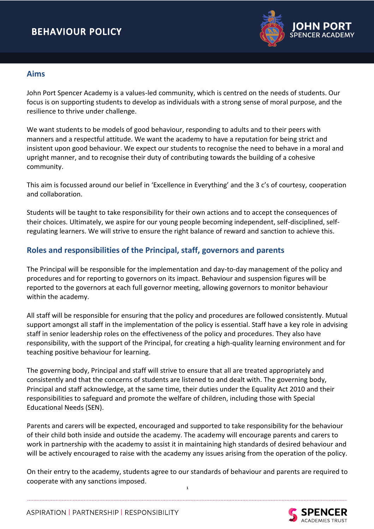

## **Aims**

John Port Spencer Academy is a values-led community, which is centred on the needs of students. Our focus is on supporting students to develop as individuals with a strong sense of moral purpose, and the resilience to thrive under challenge.

We want students to be models of good behaviour, responding to adults and to their peers with manners and a respectful attitude. We want the academy to have a reputation for being strict and insistent upon good behaviour. We expect our students to recognise the need to behave in a moral and upright manner, and to recognise their duty of contributing towards the building of a cohesive community.

This aim is focussed around our belief in 'Excellence in Everything' and the 3 c's of courtesy, cooperation and collaboration.

Students will be taught to take responsibility for their own actions and to accept the consequences of their choices. Ultimately, we aspire for our young people becoming independent, self-disciplined, selfregulating learners. We will strive to ensure the right balance of reward and sanction to achieve this.

# **Roles and responsibilities of the Principal, staff, governors and parents**

The Principal will be responsible for the implementation and day-to-day management of the policy and procedures and for reporting to governors on its impact. Behaviour and suspension figures will be reported to the governors at each full governor meeting, allowing governors to monitor behaviour within the academy.

All staff will be responsible for ensuring that the policy and procedures are followed consistently. Mutual support amongst all staff in the implementation of the policy is essential. Staff have a key role in advising staff in senior leadership roles on the effectiveness of the policy and procedures. They also have responsibility, with the support of the Principal, for creating a high-quality learning environment and for teaching positive behaviour for learning.

The governing body, Principal and staff will strive to ensure that all are treated appropriately and consistently and that the concerns of students are listened to and dealt with. The governing body, Principal and staff acknowledge, at the same time, their duties under the Equality Act 2010 and their responsibilities to safeguard and promote the welfare of children, including those with Special Educational Needs (SEN).

Parents and carers will be expected, encouraged and supported to take responsibility for the behaviour of their child both inside and outside the academy. The academy will encourage parents and carers to work in partnership with the academy to assist it in maintaining high standards of desired behaviour and will be actively encouraged to raise with the academy any issues arising from the operation of the policy.

On their entry to the academy, students agree to our standards of behaviour and parents are required to cooperate with any sanctions imposed. **1**



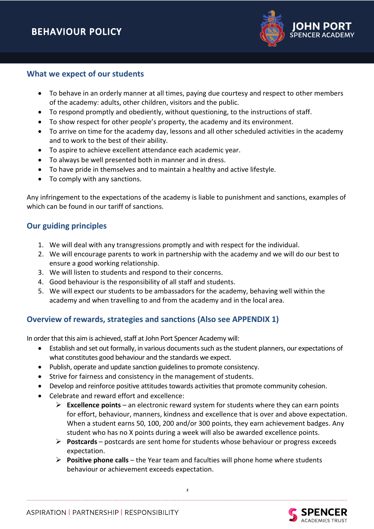

## **What we expect of our students**

- To behave in an orderly manner at all times, paying due courtesy and respect to other members of the academy: adults, other children, visitors and the public.
- To respond promptly and obediently, without questioning, to the instructions of staff.
- To show respect for other people's property, the academy and its environment.
- To arrive on time for the academy day, lessons and all other scheduled activities in the academy and to work to the best of their ability.
- To aspire to achieve excellent attendance each academic year.
- To always be well presented both in manner and in dress.
- To have pride in themselves and to maintain a healthy and active lifestyle.
- To comply with any sanctions.

Any infringement to the expectations of the academy is liable to punishment and sanctions, examples of which can be found in our tariff of sanctions.

# **Our guiding principles**

- 1. We will deal with any transgressions promptly and with respect for the individual.
- 2. We will encourage parents to work in partnership with the academy and we will do our best to ensure a good working relationship.
- 3. We will listen to students and respond to their concerns.
- 4. Good behaviour is the responsibility of all staff and students.
- 5. We will expect our students to be ambassadors for the academy, behaving well within the academy and when travelling to and from the academy and in the local area.

# **Overview of rewards, strategies and sanctions (Also see APPENDIX 1)**

In order that this aim is achieved, staff at John Port Spencer Academy will:

- Establish and set out formally, in various documents such as the student planners, our expectations of what constitutes good behaviour and the standards we expect.
- Publish, operate and update sanction guidelines to promote consistency.
- Strive for fairness and consistency in the management of students.
- Develop and reinforce positive attitudes towards activities that promote community cohesion.
- Celebrate and reward effort and excellence:
	- ➢ **Excellence points** an electronic reward system for students where they can earn points for effort, behaviour, manners, kindness and excellence that is over and above expectation. When a student earns 50, 100, 200 and/or 300 points, they earn achievement badges. Any student who has no X points during a week will also be awarded excellence points.
	- ➢ **Postcards**  postcards are sent home for students whose behaviour or progress exceeds expectation.
	- ➢ **Positive phone calls** the Year team and faculties will phone home where students behaviour or achievement exceeds expectation.

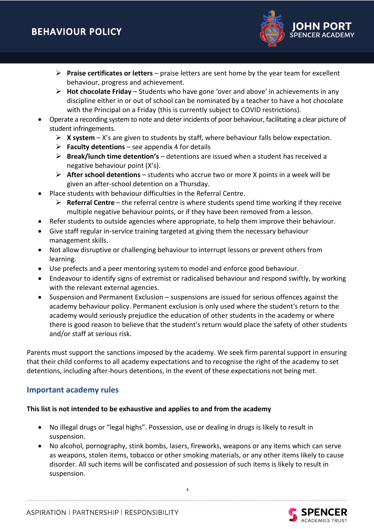

- ➢ **Praise certificates or letters** praise letters are sent home by the year team for excellent behaviour, progress and achievement.
- ➢ **Hot chocolate Friday**  Students who have gone 'over and above' in achievements in any discipline either in or out of school can be nominated by a teacher to have a hot chocolate with the Principal on a Friday (this is currently subject to COVID restrictions).
- Operate a recording system to note and deter incidents of poor behaviour, facilitating a clear picture of student infringements.
	- ➢ **X system** X's are given to students by staff, where behaviour falls below expectation.
	- ➢ **Faculty detentions**  see appendix 4 for details
	- ➢ **Break/lunch time detention's** detentions are issued when a student has received a negative behaviour point (X's).
	- ➢ **After school detentions**  students who accrue two or more X points in a week will be given an after-school detention on a Thursday.
- Place students with behaviour difficulties in the Referral Centre.
	- ➢ **Referral Centre** the referral centre is where students spend time working if they receive multiple negative behaviour points, or if they have been removed from a lesson.
- Refer students to outside agencies where appropriate, to help them improve their behaviour.
- Give staff regular in-service training targeted at giving them the necessary behaviour management skills.
- Not allow disruptive or challenging behaviour to interrupt lessons or prevent others from learning.
- Use prefects and a peer mentoring system to model and enforce good behaviour.
- Endeavour to identify signs of extremist or radicalised behaviour and respond swiftly, by working with the relevant external agencies.
- Suspension and Permanent Exclusion suspensions are issued for serious offences against the academy behaviour policy. Permanent exclusion is only used where the student's return to the academy would seriously prejudice the education of other students in the academy or where there is good reason to believe that the student's return would place the safety of other students and/or staff at serious risk.

Parents must support the sanctions imposed by the academy. We seek firm parental support in ensuring that their child conforms to all academy expectations and to recognise the right of the academy to set detentions, including after-hours detentions, in the event of these expectations not being met.

# **Important academy rules**

## **This list is not intended to be exhaustive and applies to and from the academy**

- No illegal drugs or "legal highs". Possession, use or dealing in drugs is likely to result in suspension.
- No alcohol, pornography, stink bombs, lasers, fireworks, weapons or any items which can serve as weapons, stolen items, tobacco or other smoking materials, or any other items likely to cause disorder. All such items will be confiscated and possession of such items is likely to result in suspension.

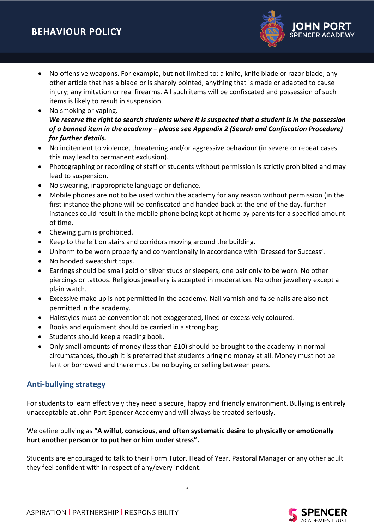- No offensive weapons. For example, but not limited to: a knife, knife blade or razor blade; any other article that has a blade or is sharply pointed, anything that is made or adapted to cause injury; any imitation or real firearms. All such items will be confiscated and possession of such items is likely to result in suspension.
- No smoking or vaping. *We reserve the right to search students where it is suspected that a student is in the possession of a banned item in the academy – please see Appendix 2 (Search and Confiscation Procedure) for further details.*
- No incitement to violence, threatening and/or aggressive behaviour (in severe or repeat cases this may lead to permanent exclusion).
- Photographing or recording of staff or students without permission is strictly prohibited and may lead to suspension.
- No swearing, inappropriate language or defiance.
- Mobile phones are not to be used within the academy for any reason without permission (in the first instance the phone will be confiscated and handed back at the end of the day, further instances could result in the mobile phone being kept at home by parents for a specified amount of time.
- Chewing gum is prohibited.
- Keep to the left on stairs and corridors moving around the building.
- Uniform to be worn properly and conventionally in accordance with 'Dressed for Success'.
- No hooded sweatshirt tops.
- Earrings should be small gold or silver studs or sleepers, one pair only to be worn. No other piercings or tattoos. Religious jewellery is accepted in moderation. No other jewellery except a plain watch.
- Excessive make up is not permitted in the academy. Nail varnish and false nails are also not permitted in the academy.
- Hairstyles must be conventional: not exaggerated, lined or excessively coloured.
- Books and equipment should be carried in a strong bag.
- Students should keep a reading book.
- Only small amounts of money (less than £10) should be brought to the academy in normal circumstances, though it is preferred that students bring no money at all. Money must not be lent or borrowed and there must be no buying or selling between peers.

# **Anti-bullying strategy**

For students to learn effectively they need a secure, happy and friendly environment. Bullying is entirely unacceptable at John Port Spencer Academy and will always be treated seriously.

## We define bullying as **"A wilful, conscious, and often systematic desire to physically or emotionally hurt another person or to put her or him under stress".**

Students are encouraged to talk to their Form Tutor, Head of Year, Pastoral Manager or any other adult they feel confident with in respect of any/every incident.

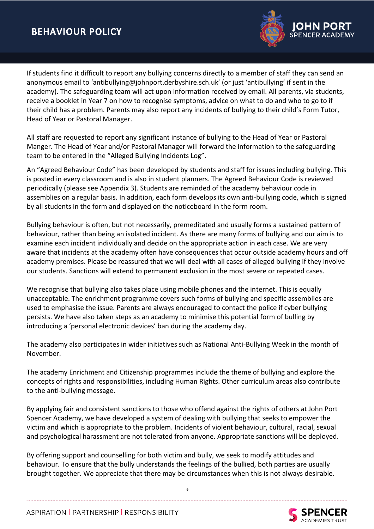

If students find it difficult to report any bullying concerns directly to a member of staff they can send an anonymous email to 'antibullying@johnport.derbyshire.sch.uk' (or just 'antibullying' if sent in the academy). The safeguarding team will act upon information received by email. All parents, via students, receive a booklet in Year 7 on how to recognise symptoms, advice on what to do and who to go to if their child has a problem. Parents may also report any incidents of bullying to their child's Form Tutor, Head of Year or Pastoral Manager.

All staff are requested to report any significant instance of bullying to the Head of Year or Pastoral Manger. The Head of Year and/or Pastoral Manager will forward the information to the safeguarding team to be entered in the "Alleged Bullying Incidents Log".

An "Agreed Behaviour Code" has been developed by students and staff for issues including bullying. This is posted in every classroom and is also in student planners. The Agreed Behaviour Code is reviewed periodically (please see Appendix 3). Students are reminded of the academy behaviour code in assemblies on a regular basis. In addition, each form develops its own anti-bullying code, which is signed by all students in the form and displayed on the noticeboard in the form room.

Bullying behaviour is often, but not necessarily, premeditated and usually forms a sustained pattern of behaviour, rather than being an isolated incident. As there are many forms of bullying and our aim is to examine each incident individually and decide on the appropriate action in each case. We are very aware that incidents at the academy often have consequences that occur outside academy hours and off academy premises. Please be reassured that we will deal with all cases of alleged bullying if they involve our students. Sanctions will extend to permanent exclusion in the most severe or repeated cases.

We recognise that bullying also takes place using mobile phones and the internet. This is equally unacceptable. The enrichment programme covers such forms of bullying and specific assemblies are used to emphasise the issue. Parents are always encouraged to contact the police if cyber bullying persists. We have also taken steps as an academy to minimise this potential form of bulling by introducing a 'personal electronic devices' ban during the academy day.

The academy also participates in wider initiatives such as National Anti-Bullying Week in the month of November.

The academy Enrichment and Citizenship programmes include the theme of bullying and explore the concepts of rights and responsibilities, including Human Rights. Other curriculum areas also contribute to the anti-bullying message.

By applying fair and consistent sanctions to those who offend against the rights of others at John Port Spencer Academy, we have developed a system of dealing with bullying that seeks to empower the victim and which is appropriate to the problem. Incidents of violent behaviour, cultural, racial, sexual and psychological harassment are not tolerated from anyone. Appropriate sanctions will be deployed.

By offering support and counselling for both victim and bully, we seek to modify attitudes and behaviour. To ensure that the bully understands the feelings of the bullied, both parties are usually brought together. We appreciate that there may be circumstances when this is not always desirable.

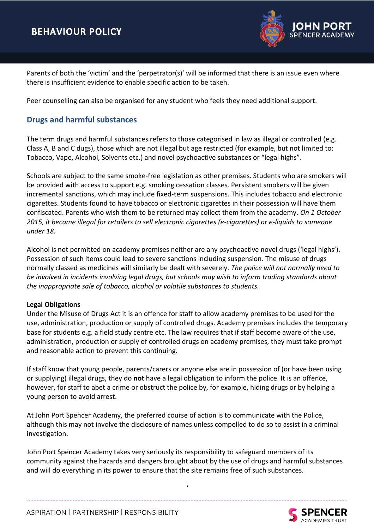

Parents of both the 'victim' and the 'perpetrator(s)' will be informed that there is an issue even where there is insufficient evidence to enable specific action to be taken.

Peer counselling can also be organised for any student who feels they need additional support.

# **Drugs and harmful substances**

The term drugs and harmful substances refers to those categorised in law as illegal or controlled (e.g. Class A, B and C dugs), those which are not illegal but age restricted (for example, but not limited to: Tobacco, Vape, Alcohol, Solvents etc.) and novel psychoactive substances or "legal highs".

Schools are subject to the same smoke-free legislation as other premises. Students who are smokers will be provided with access to support e.g. smoking cessation classes. Persistent smokers will be given incremental sanctions, which may include fixed-term suspensions. This includes tobacco and electronic cigarettes. Students found to have tobacco or electronic cigarettes in their possession will have them confiscated. Parents who wish them to be returned may collect them from the academy. *On 1 October 2015, it became illegal for retailers to sell electronic cigarettes (e-cigarettes) or e-liquids to someone under 18.* 

Alcohol is not permitted on academy premises neither are any psychoactive novel drugs ('legal highs'). Possession of such items could lead to severe sanctions including suspension. The misuse of drugs normally classed as medicines will similarly be dealt with severely. *The police will not normally need to be involved in incidents involving legal drugs, but schools may wish to inform trading standards about the inappropriate sale of tobacco, alcohol or volatile substances to students.*

## **Legal Obligations**

Under the Misuse of Drugs Act it is an offence for staff to allow academy premises to be used for the use, administration, production or supply of controlled drugs. Academy premises includes the temporary base for students e.g. a field study centre etc. The law requires that if staff become aware of the use, administration, production or supply of controlled drugs on academy premises, they must take prompt and reasonable action to prevent this continuing.

If staff know that young people, parents/carers or anyone else are in possession of (or have been using or supplying) illegal drugs, they do **not** have a legal obligation to inform the police. It is an offence, however, for staff to abet a crime or obstruct the police by, for example, hiding drugs or by helping a young person to avoid arrest.

At John Port Spencer Academy, the preferred course of action is to communicate with the Police, although this may not involve the disclosure of names unless compelled to do so to assist in a criminal investigation.

John Port Spencer Academy takes very seriously its responsibility to safeguard members of its community against the hazards and dangers brought about by the use of drugs and harmful substances and will do everything in its power to ensure that the site remains free of such substances.

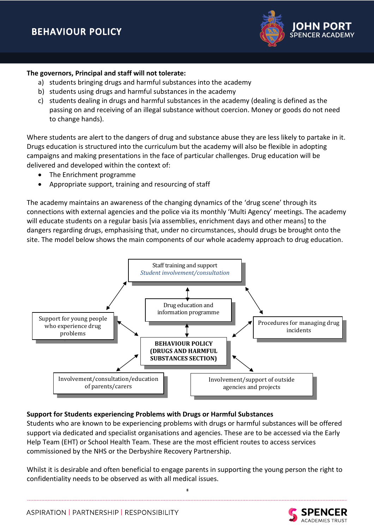

#### **The governors, Principal and staff will not tolerate:**

- a) students bringing drugs and harmful substances into the academy
- b) students using drugs and harmful substances in the academy
- c) students dealing in drugs and harmful substances in the academy (dealing is defined as the passing on and receiving of an illegal substance without coercion. Money or goods do not need to change hands).

Where students are alert to the dangers of drug and substance abuse they are less likely to partake in it. Drugs education is structured into the curriculum but the academy will also be flexible in adopting campaigns and making presentations in the face of particular challenges. Drug education will be delivered and developed within the context of:

- The Enrichment programme
- Appropriate support, training and resourcing of staff

The academy maintains an awareness of the changing dynamics of the 'drug scene' through its connections with external agencies and the police via its monthly 'Multi Agency' meetings. The academy will educate students on a regular basis [via assemblies, enrichment days and other means] to the dangers regarding drugs, emphasising that, under no circumstances, should drugs be brought onto the site. The model below shows the main components of our whole academy approach to drug education.



#### **Support for Students experiencing Problems with Drugs or Harmful Substances**

Students who are known to be experiencing problems with drugs or harmful substances will be offered support via dedicated and specialist organisations and agencies. These are to be accessed via the Early Help Team (EHT) or School Health Team. These are the most efficient routes to access services commissioned by the NHS or the Derbyshire Recovery Partnership.

Whilst it is desirable and often beneficial to engage parents in supporting the young person the right to confidentiality needs to be observed as with all medical issues.

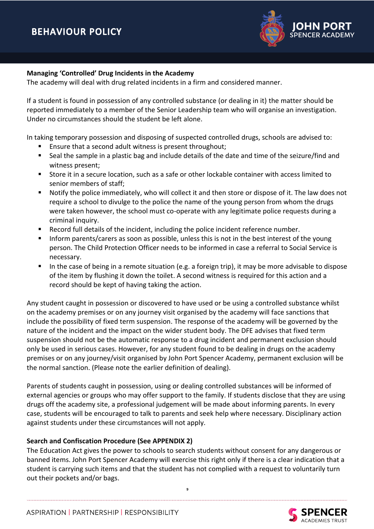

#### **Managing 'Controlled' Drug Incidents in the Academy**

The academy will deal with drug related incidents in a firm and considered manner.

If a student is found in possession of any controlled substance (or dealing in it) the matter should be reported immediately to a member of the Senior Leadership team who will organise an investigation. Under no circumstances should the student be left alone.

In taking temporary possession and disposing of suspected controlled drugs, schools are advised to:

- Ensure that a second adult witness is present throughout;
- Seal the sample in a plastic bag and include details of the date and time of the seizure/find and witness present;
- Store it in a secure location, such as a safe or other lockable container with access limited to senior members of staff;
- Notify the police immediately, who will collect it and then store or dispose of it. The law does not require a school to divulge to the police the name of the young person from whom the drugs were taken however, the school must co-operate with any legitimate police requests during a criminal inquiry.
- Record full details of the incident, including the police incident reference number.
- Inform parents/carers as soon as possible, unless this is not in the best interest of the young person. The Child Protection Officer needs to be informed in case a referral to Social Service is necessary.
- In the case of being in a remote situation (e.g. a foreign trip), it may be more advisable to dispose of the item by flushing it down the toilet. A second witness is required for this action and a record should be kept of having taking the action.

Any student caught in possession or discovered to have used or be using a controlled substance whilst on the academy premises or on any journey visit organised by the academy will face sanctions that include the possibility of fixed term suspension. The response of the academy will be governed by the nature of the incident and the impact on the wider student body. The DFE advises that fixed term suspension should not be the automatic response to a drug incident and permanent exclusion should only be used in serious cases. However, for any student found to be dealing in drugs on the academy premises or on any journey/visit organised by John Port Spencer Academy, permanent exclusion will be the normal sanction. (Please note the earlier definition of dealing).

Parents of students caught in possession, using or dealing controlled substances will be informed of external agencies or groups who may offer support to the family. If students disclose that they are using drugs off the academy site, a professional judgement will be made about informing parents. In every case, students will be encouraged to talk to parents and seek help where necessary. Disciplinary action against students under these circumstances will not apply.

#### **Search and Confiscation Procedure (See APPENDIX 2)**

The Education Act gives the power to schools to search students without consent for any dangerous or banned items. John Port Spencer Academy will exercise this right only if there is a clear indication that a student is carrying such items and that the student has not complied with a request to voluntarily turn out their pockets and/or bags.

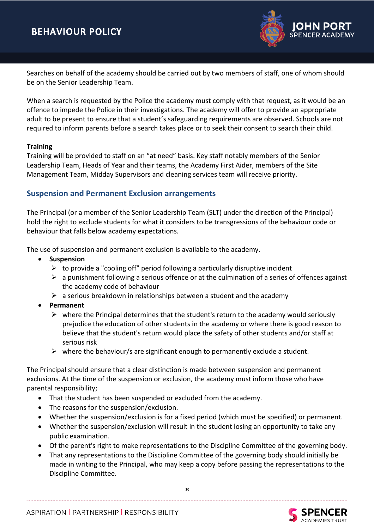

Searches on behalf of the academy should be carried out by two members of staff, one of whom should be on the Senior Leadership Team.

When a search is requested by the Police the academy must comply with that request, as it would be an offence to impede the Police in their investigations. The academy will offer to provide an appropriate adult to be present to ensure that a student's safeguarding requirements are observed. Schools are not required to inform parents before a search takes place or to seek their consent to search their child.

#### **Training**

Training will be provided to staff on an "at need" basis. Key staff notably members of the Senior Leadership Team, Heads of Year and their teams, the Academy First Aider, members of the Site Management Team, Midday Supervisors and cleaning services team will receive priority.

# **Suspension and Permanent Exclusion arrangements**

The Principal (or a member of the Senior Leadership Team (SLT) under the direction of the Principal) hold the right to exclude students for what it considers to be transgressions of the behaviour code or behaviour that falls below academy expectations.

The use of suspension and permanent exclusion is available to the academy.

- **Suspension**
	- $\triangleright$  to provide a "cooling off" period following a particularly disruptive incident
	- $\triangleright$  a punishment following a serious offence or at the culmination of a series of offences against the academy code of behaviour
	- $\triangleright$  a serious breakdown in relationships between a student and the academy
- **Permanent**
	- $\triangleright$  where the Principal determines that the student's return to the academy would seriously prejudice the education of other students in the academy or where there is good reason to believe that the student's return would place the safety of other students and/or staff at serious risk
	- $\triangleright$  where the behaviour/s are significant enough to permanently exclude a student.

The Principal should ensure that a clear distinction is made between suspension and permanent exclusions. At the time of the suspension or exclusion, the academy must inform those who have parental responsibility;

- That the student has been suspended or excluded from the academy.
- The reasons for the suspension/exclusion.
- Whether the suspension/exclusion is for a fixed period (which must be specified) or permanent.
- Whether the suspension/exclusion will result in the student losing an opportunity to take any public examination.
- Of the parent's right to make representations to the Discipline Committee of the governing body.
- That any representations to the Discipline Committee of the governing body should initially be made in writing to the Principal, who may keep a copy before passing the representations to the Discipline Committee.



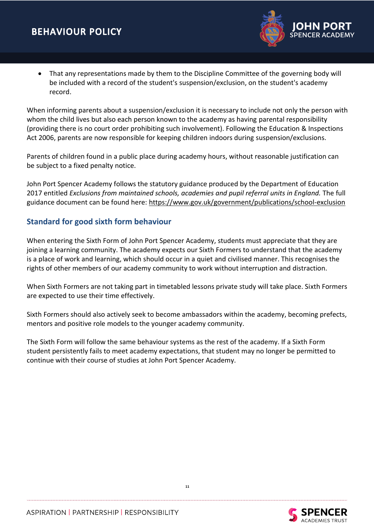

• That any representations made by them to the Discipline Committee of the governing body will be included with a record of the student's suspension/exclusion, on the student's academy record.

When informing parents about a suspension/exclusion it is necessary to include not only the person with whom the child lives but also each person known to the academy as having parental responsibility (providing there is no court order prohibiting such involvement). Following the Education & Inspections Act 2006, parents are now responsible for keeping children indoors during suspension/exclusions.

Parents of children found in a public place during academy hours, without reasonable justification can be subject to a fixed penalty notice.

John Port Spencer Academy follows the statutory guidance produced by the Department of Education 2017 entitled *Exclusions from maintained schools, academies and pupil referral units in England.* The full guidance document can be found here:<https://www.gov.uk/government/publications/school-exclusion>

# **Standard for good sixth form behaviour**

When entering the Sixth Form of John Port Spencer Academy, students must appreciate that they are joining a learning community. The academy expects our Sixth Formers to understand that the academy is a place of work and learning, which should occur in a quiet and civilised manner. This recognises the rights of other members of our academy community to work without interruption and distraction.

When Sixth Formers are not taking part in timetabled lessons private study will take place. Sixth Formers are expected to use their time effectively.

Sixth Formers should also actively seek to become ambassadors within the academy, becoming prefects, mentors and positive role models to the younger academy community.

The Sixth Form will follow the same behaviour systems as the rest of the academy. If a Sixth Form student persistently fails to meet academy expectations, that student may no longer be permitted to continue with their course of studies at John Port Spencer Academy.

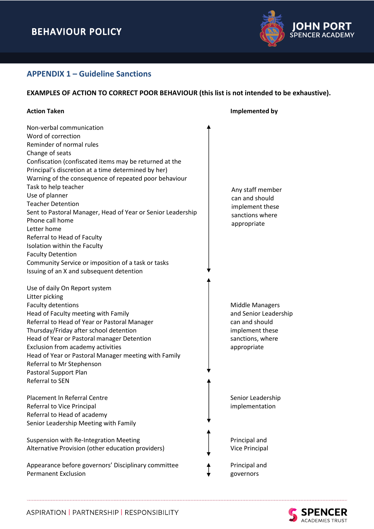

# **APPENDIX 1 – Guideline Sanctions**

## **EXAMPLES OF ACTION TO CORRECT POOR BEHAVIOUR (this list is not intended to be exhaustive).**

| Non-verbal communication<br>Word of correction<br>Reminder of normal rules<br>Change of seats<br>Confiscation (confiscated items may be returned at the<br>Principal's discretion at a time determined by her)<br>Warning of the consequence of repeated poor behaviour<br>Task to help teacher<br>Any staff member<br>Use of planner<br>can and should<br><b>Teacher Detention</b><br>implement these<br>Sent to Pastoral Manager, Head of Year or Senior Leadership<br>sanctions where<br>Phone call home<br>appropriate<br>Letter home<br>Referral to Head of Faculty |
|--------------------------------------------------------------------------------------------------------------------------------------------------------------------------------------------------------------------------------------------------------------------------------------------------------------------------------------------------------------------------------------------------------------------------------------------------------------------------------------------------------------------------------------------------------------------------|
|                                                                                                                                                                                                                                                                                                                                                                                                                                                                                                                                                                          |
|                                                                                                                                                                                                                                                                                                                                                                                                                                                                                                                                                                          |
|                                                                                                                                                                                                                                                                                                                                                                                                                                                                                                                                                                          |
|                                                                                                                                                                                                                                                                                                                                                                                                                                                                                                                                                                          |
|                                                                                                                                                                                                                                                                                                                                                                                                                                                                                                                                                                          |
|                                                                                                                                                                                                                                                                                                                                                                                                                                                                                                                                                                          |
|                                                                                                                                                                                                                                                                                                                                                                                                                                                                                                                                                                          |
|                                                                                                                                                                                                                                                                                                                                                                                                                                                                                                                                                                          |
|                                                                                                                                                                                                                                                                                                                                                                                                                                                                                                                                                                          |
|                                                                                                                                                                                                                                                                                                                                                                                                                                                                                                                                                                          |
|                                                                                                                                                                                                                                                                                                                                                                                                                                                                                                                                                                          |
|                                                                                                                                                                                                                                                                                                                                                                                                                                                                                                                                                                          |
|                                                                                                                                                                                                                                                                                                                                                                                                                                                                                                                                                                          |
|                                                                                                                                                                                                                                                                                                                                                                                                                                                                                                                                                                          |
| Isolation within the Faculty                                                                                                                                                                                                                                                                                                                                                                                                                                                                                                                                             |
| <b>Faculty Detention</b>                                                                                                                                                                                                                                                                                                                                                                                                                                                                                                                                                 |
| Community Service or imposition of a task or tasks                                                                                                                                                                                                                                                                                                                                                                                                                                                                                                                       |
| Issuing of an X and subsequent detention                                                                                                                                                                                                                                                                                                                                                                                                                                                                                                                                 |
|                                                                                                                                                                                                                                                                                                                                                                                                                                                                                                                                                                          |
| Use of daily On Report system                                                                                                                                                                                                                                                                                                                                                                                                                                                                                                                                            |
| Litter picking                                                                                                                                                                                                                                                                                                                                                                                                                                                                                                                                                           |
| Faculty detentions<br><b>Middle Managers</b>                                                                                                                                                                                                                                                                                                                                                                                                                                                                                                                             |
| and Senior Leadership<br>Head of Faculty meeting with Family                                                                                                                                                                                                                                                                                                                                                                                                                                                                                                             |
| Referral to Head of Year or Pastoral Manager<br>can and should                                                                                                                                                                                                                                                                                                                                                                                                                                                                                                           |
| Thursday/Friday after school detention<br>implement these                                                                                                                                                                                                                                                                                                                                                                                                                                                                                                                |
| Head of Year or Pastoral manager Detention<br>sanctions, where                                                                                                                                                                                                                                                                                                                                                                                                                                                                                                           |
| Exclusion from academy activities<br>appropriate                                                                                                                                                                                                                                                                                                                                                                                                                                                                                                                         |
| Head of Year or Pastoral Manager meeting with Family                                                                                                                                                                                                                                                                                                                                                                                                                                                                                                                     |
| Referral to Mr Stephenson                                                                                                                                                                                                                                                                                                                                                                                                                                                                                                                                                |
| Pastoral Support Plan                                                                                                                                                                                                                                                                                                                                                                                                                                                                                                                                                    |
| Referral to SEN                                                                                                                                                                                                                                                                                                                                                                                                                                                                                                                                                          |
|                                                                                                                                                                                                                                                                                                                                                                                                                                                                                                                                                                          |
| Placement In Referral Centre<br>Senior Leadership                                                                                                                                                                                                                                                                                                                                                                                                                                                                                                                        |
| Referral to Vice Principal<br>implementation                                                                                                                                                                                                                                                                                                                                                                                                                                                                                                                             |
| Referral to Head of academy                                                                                                                                                                                                                                                                                                                                                                                                                                                                                                                                              |
| Senior Leadership Meeting with Family                                                                                                                                                                                                                                                                                                                                                                                                                                                                                                                                    |
|                                                                                                                                                                                                                                                                                                                                                                                                                                                                                                                                                                          |
| Suspension with Re-Integration Meeting<br>Principal and                                                                                                                                                                                                                                                                                                                                                                                                                                                                                                                  |
| Alternative Provision (other education providers)<br>Vice Principal                                                                                                                                                                                                                                                                                                                                                                                                                                                                                                      |
| Appearance before governors' Disciplinary committee<br>Principal and                                                                                                                                                                                                                                                                                                                                                                                                                                                                                                     |
| <b>Permanent Exclusion</b><br>governors                                                                                                                                                                                                                                                                                                                                                                                                                                                                                                                                  |

ASPIRATION | PARTNERSHIP | RESPONSIBILITY

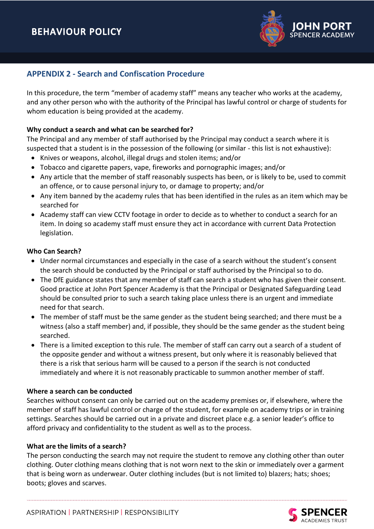

# **APPENDIX 2 - Search and Confiscation Procedure**

In this procedure, the term "member of academy staff" means any teacher who works at the academy, and any other person who with the authority of the Principal has lawful control or charge of students for whom education is being provided at the academy.

#### **Why conduct a search and what can be searched for?**

The Principal and any member of staff authorised by the Principal may conduct a search where it is suspected that a student is in the possession of the following (or similar - this list is not exhaustive):

- Knives or weapons, alcohol, illegal drugs and stolen items; and/or
- Tobacco and cigarette papers, vape, fireworks and pornographic images; and/or
- Any article that the member of staff reasonably suspects has been, or is likely to be, used to commit an offence, or to cause personal injury to, or damage to property; and/or
- Any item banned by the academy rules that has been identified in the rules as an item which may be searched for
- Academy staff can view CCTV footage in order to decide as to whether to conduct a search for an item. In doing so academy staff must ensure they act in accordance with current Data Protection legislation.

#### **Who Can Search?**

- Under normal circumstances and especially in the case of a search without the student's consent the search should be conducted by the Principal or staff authorised by the Principal so to do.
- The DfE guidance states that any member of staff can search a student who has given their consent. Good practice at John Port Spencer Academy is that the Principal or Designated Safeguarding Lead should be consulted prior to such a search taking place unless there is an urgent and immediate need for that search.
- The member of staff must be the same gender as the student being searched; and there must be a witness (also a staff member) and, if possible, they should be the same gender as the student being searched.
- There is a limited exception to this rule. The member of staff can carry out a search of a student of the opposite gender and without a witness present, but only where it is reasonably believed that there is a risk that serious harm will be caused to a person if the search is not conducted immediately and where it is not reasonably practicable to summon another member of staff.

#### **Where a search can be conducted**

Searches without consent can only be carried out on the academy premises or, if elsewhere, where the member of staff has lawful control or charge of the student, for example on academy trips or in training settings. Searches should be carried out in a private and discreet place e.g. a senior leader's office to afford privacy and confidentiality to the student as well as to the process.

#### **What are the limits of a search?**

The person conducting the search may not require the student to remove any clothing other than outer clothing. Outer clothing means clothing that is not worn next to the skin or immediately over a garment that is being worn as underwear. Outer clothing includes (but is not limited to) blazers; hats; shoes; boots; gloves and scarves.

**SPENCER**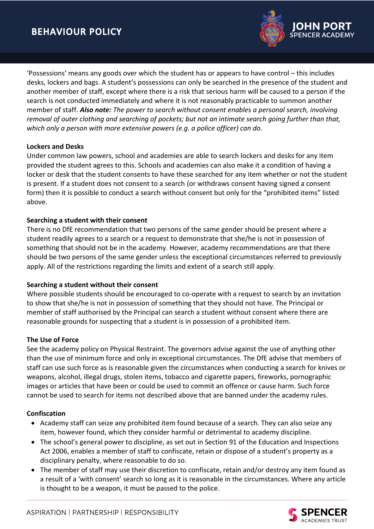

'Possessions' means any goods over which the student has or appears to have control – this includes desks, lockers and bags. A student's possessions can only be searched in the presence of the student and another member of staff, except where there is a risk that serious harm will be caused to a person if the search is not conducted immediately and where it is not reasonably practicable to summon another member of staff. *Also note: The power to search without consent enables a personal search, involving removal of outer clothing and searching of pockets; but not an intimate search going further than that, which only a person with more extensive powers (e.g. a police officer) can do.*

#### **Lockers and Desks**

Under common law powers, school and academies are able to search lockers and desks for any item provided the student agrees to this. Schools and academies can also make it a condition of having a locker or desk that the student consents to have these searched for any item whether or not the student is present. If a student does not consent to a search (or withdraws consent having signed a consent form) then it is possible to conduct a search without consent but only for the "prohibited items" listed above.

#### **Searching a student with their consent**

There is no DfE recommendation that two persons of the same gender should be present where a student readily agrees to a search or a request to demonstrate that she/he is not in possession of something that should not be in the academy. However, academy recommendations are that there should be two persons of the same gender unless the exceptional circumstances referred to previously apply. All of the restrictions regarding the limits and extent of a search still apply.

#### **Searching a student without their consent**

Where possible students should be encouraged to co-operate with a request to search by an invitation to show that she/he is not in possession of something that they should not have. The Principal or member of staff authorised by the Principal can search a student without consent where there are reasonable grounds for suspecting that a student is in possession of a prohibited item.

#### **The Use of Force**

See the academy policy on Physical Restraint. The governors advise against the use of anything other than the use of minimum force and only in exceptional circumstances. The DfE advise that members of staff can use such force as is reasonable given the circumstances when conducting a search for knives or weapons, alcohol, illegal drugs, stolen items, tobacco and cigarette papers, fireworks, pornographic images or articles that have been or could be used to commit an offence or cause harm. Such force cannot be used to search for items not described above that are banned under the academy rules.

#### **Confiscation**

- Academy staff can seize any prohibited item found because of a search. They can also seize any item, however found, which they consider harmful or detrimental to academy discipline.
- The school's general power to discipline, as set out in Section 91 of the Education and Inspections Act 2006, enables a member of staff to confiscate, retain or dispose of a student's property as a disciplinary penalty, where reasonable to do so.
- The member of staff may use their discretion to confiscate, retain and/or destroy any item found as a result of a 'with consent' search so long as it is reasonable in the circumstances. Where any article is thought to be a weapon, it must be passed to the police.

ASPIRATION | PARTNERSHIP | RESPONSIBILITY

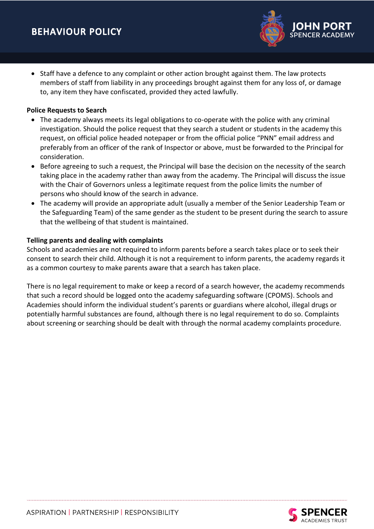• Staff have a defence to any complaint or other action brought against them. The law protects members of staff from liability in any proceedings brought against them for any loss of, or damage to, any item they have confiscated, provided they acted lawfully.

#### **Police Requests to Search**

- The academy always meets its legal obligations to co-operate with the police with any criminal investigation. Should the police request that they search a student or students in the academy this request, on official police headed notepaper or from the official police "PNN" email address and preferably from an officer of the rank of Inspector or above, must be forwarded to the Principal for consideration.
- Before agreeing to such a request, the Principal will base the decision on the necessity of the search taking place in the academy rather than away from the academy. The Principal will discuss the issue with the Chair of Governors unless a legitimate request from the police limits the number of persons who should know of the search in advance.
- The academy will provide an appropriate adult (usually a member of the Senior Leadership Team or the Safeguarding Team) of the same gender as the student to be present during the search to assure that the wellbeing of that student is maintained.

## **Telling parents and dealing with complaints**

Schools and academies are not required to inform parents before a search takes place or to seek their consent to search their child. Although it is not a requirement to inform parents, the academy regards it as a common courtesy to make parents aware that a search has taken place.

There is no legal requirement to make or keep a record of a search however, the academy recommends that such a record should be logged onto the academy safeguarding software (CPOMS). Schools and Academies should inform the individual student's parents or guardians where alcohol, illegal drugs or potentially harmful substances are found, although there is no legal requirement to do so. Complaints about screening or searching should be dealt with through the normal academy complaints procedure.

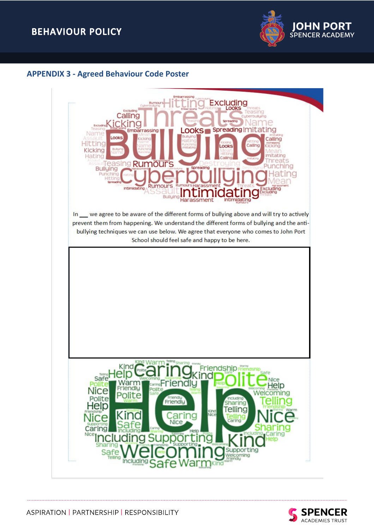

# **APPENDIX 3 - Agreed Behaviour Code Poster**



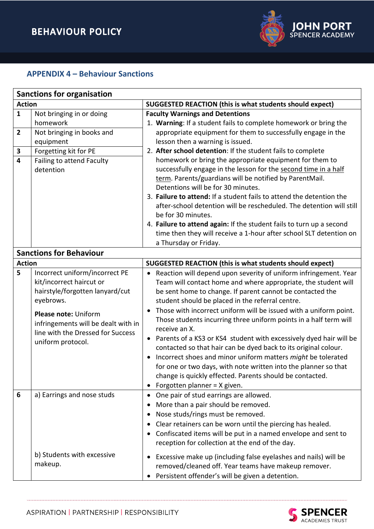

# **APPENDIX 4 – Behaviour Sanctions**

|                                        | <b>Sanctions for organisation</b>                                                                                                                                                                                                   |                                                                                                                                                                                                                                                                                                                                                                                                                                                                                                                                                                                                                                                                                                                                                                                                       |  |  |  |
|----------------------------------------|-------------------------------------------------------------------------------------------------------------------------------------------------------------------------------------------------------------------------------------|-------------------------------------------------------------------------------------------------------------------------------------------------------------------------------------------------------------------------------------------------------------------------------------------------------------------------------------------------------------------------------------------------------------------------------------------------------------------------------------------------------------------------------------------------------------------------------------------------------------------------------------------------------------------------------------------------------------------------------------------------------------------------------------------------------|--|--|--|
| <b>Action</b>                          |                                                                                                                                                                                                                                     | <b>SUGGESTED REACTION (this is what students should expect)</b>                                                                                                                                                                                                                                                                                                                                                                                                                                                                                                                                                                                                                                                                                                                                       |  |  |  |
| $\mathbf{1}$<br>$\mathbf{2}$<br>3<br>4 | Not bringing in or doing<br>homework<br>Not bringing in books and<br>equipment<br>Forgetting kit for PE<br>Failing to attend Faculty<br>detention                                                                                   | <b>Faculty Warnings and Detentions</b><br>1. Warning: If a student fails to complete homework or bring the<br>appropriate equipment for them to successfully engage in the<br>lesson then a warning is issued.<br>2. After school detention: If the student fails to complete<br>homework or bring the appropriate equipment for them to<br>successfully engage in the lesson for the second time in a half<br>term. Parents/guardians will be notified by ParentMail.<br>Detentions will be for 30 minutes.<br>3. Failure to attend: If a student fails to attend the detention the<br>after-school detention will be rescheduled. The detention will still<br>be for 30 minutes.<br>4. Failure to attend again: If the student fails to turn up a second                                            |  |  |  |
|                                        |                                                                                                                                                                                                                                     | time then they will receive a 1-hour after school SLT detention on<br>a Thursday or Friday.                                                                                                                                                                                                                                                                                                                                                                                                                                                                                                                                                                                                                                                                                                           |  |  |  |
|                                        | <b>Sanctions for Behaviour</b>                                                                                                                                                                                                      |                                                                                                                                                                                                                                                                                                                                                                                                                                                                                                                                                                                                                                                                                                                                                                                                       |  |  |  |
| <b>Action</b>                          |                                                                                                                                                                                                                                     | <b>SUGGESTED REACTION (this is what students should expect)</b>                                                                                                                                                                                                                                                                                                                                                                                                                                                                                                                                                                                                                                                                                                                                       |  |  |  |
| 5                                      | Incorrect uniform/incorrect PE<br>kit/incorrect haircut or<br>hairstyle/forgotten lanyard/cut<br>eyebrows.<br>Please note: Uniform<br>infringements will be dealt with in<br>line with the Dressed for Success<br>uniform protocol. | Reaction will depend upon severity of uniform infringement. Year<br>$\bullet$<br>Team will contact home and where appropriate, the student will<br>be sent home to change. If parent cannot be contacted the<br>student should be placed in the referral centre.<br>Those with incorrect uniform will be issued with a uniform point.<br>Those students incurring three uniform points in a half term will<br>receive an X.<br>• Parents of a KS3 or KS4 student with excessively dyed hair will be<br>contacted so that hair can be dyed back to its original colour.<br>Incorrect shoes and minor uniform matters might be tolerated<br>for one or two days, with note written into the planner so that<br>change is quickly effected. Parents should be contacted.<br>Forgotten planner = X given. |  |  |  |
| 6                                      | a) Earrings and nose studs<br>b) Students with excessive<br>makeup.                                                                                                                                                                 | One pair of stud earrings are allowed.<br>$\bullet$<br>More than a pair should be removed.<br>Nose studs/rings must be removed.<br>Clear retainers can be worn until the piercing has healed.<br>Confiscated items will be put in a named envelope and sent to<br>reception for collection at the end of the day.<br>Excessive make up (including false eyelashes and nails) will be<br>removed/cleaned off. Year teams have makeup remover.<br>Persistent offender's will be given a detention.<br>$\bullet$                                                                                                                                                                                                                                                                                         |  |  |  |

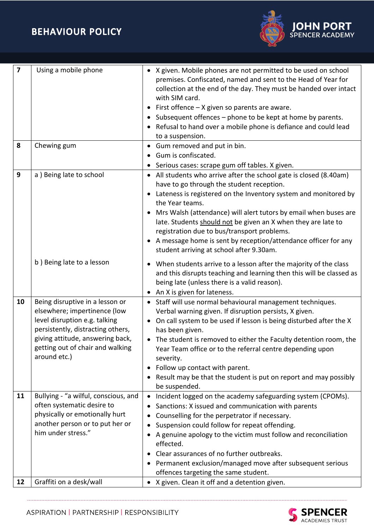

| $\overline{\mathbf{z}}$ | Using a mobile phone                                                                                                                                                                                                          | • X given. Mobile phones are not permitted to be used on school<br>premises. Confiscated, named and sent to the Head of Year for<br>collection at the end of the day. They must be handed over intact<br>with SIM card.<br>First offence - X given so parents are aware.<br>Subsequent offences – phone to be kept at home by parents.<br>Refusal to hand over a mobile phone is defiance and could lead<br>to a suspension.                                                                                                                              |
|-------------------------|-------------------------------------------------------------------------------------------------------------------------------------------------------------------------------------------------------------------------------|-----------------------------------------------------------------------------------------------------------------------------------------------------------------------------------------------------------------------------------------------------------------------------------------------------------------------------------------------------------------------------------------------------------------------------------------------------------------------------------------------------------------------------------------------------------|
| 8                       | Chewing gum                                                                                                                                                                                                                   | • Gum removed and put in bin.<br>Gum is confiscated.<br>$\bullet$                                                                                                                                                                                                                                                                                                                                                                                                                                                                                         |
| 9                       | a) Being late to school                                                                                                                                                                                                       | Serious cases: scrape gum off tables. X given.<br>• All students who arrive after the school gate is closed (8.40am)<br>have to go through the student reception.<br>Lateness is registered on the Inventory system and monitored by<br>the Year teams.<br>Mrs Walsh (attendance) will alert tutors by email when buses are<br>late. Students should not be given an X when they are late to<br>registration due to bus/transport problems.<br>A message home is sent by reception/attendance officer for any<br>student arriving at school after 9.30am. |
|                         | b) Being late to a lesson                                                                                                                                                                                                     | When students arrive to a lesson after the majority of the class<br>and this disrupts teaching and learning then this will be classed as<br>being late (unless there is a valid reason).<br>An X is given for lateness.<br>$\bullet$                                                                                                                                                                                                                                                                                                                      |
| 10                      | Being disruptive in a lesson or<br>elsewhere; impertinence (low<br>level disruption e.g. talking<br>persistently, distracting others,<br>giving attitude, answering back,<br>getting out of chair and walking<br>around etc.) | • Staff will use normal behavioural management techniques.<br>Verbal warning given. If disruption persists, X given.<br>On call system to be used if lesson is being disturbed after the X<br>has been given.<br>The student is removed to either the Faculty detention room, the<br>Year Team office or to the referral centre depending upon<br>severity.<br>Follow up contact with parent.<br>$\bullet$<br>Result may be that the student is put on report and may possibly<br>be suspended.                                                           |
| 11                      | Bullying - "a wilful, conscious, and<br>often systematic desire to<br>physically or emotionally hurt<br>another person or to put her or<br>him under stress."                                                                 | Incident logged on the academy safeguarding system (CPOMs).<br>$\bullet$<br>Sanctions: X issued and communication with parents<br>Counselling for the perpetrator if necessary.<br>Suspension could follow for repeat offending.<br>A genuine apology to the victim must follow and reconciliation<br>effected.<br>Clear assurances of no further outbreaks.<br>Permanent exclusion/managed move after subsequent serious<br>offences targeting the same student.                                                                                         |
| 12                      | Graffiti on a desk/wall                                                                                                                                                                                                       | X given. Clean it off and a detention given.                                                                                                                                                                                                                                                                                                                                                                                                                                                                                                              |

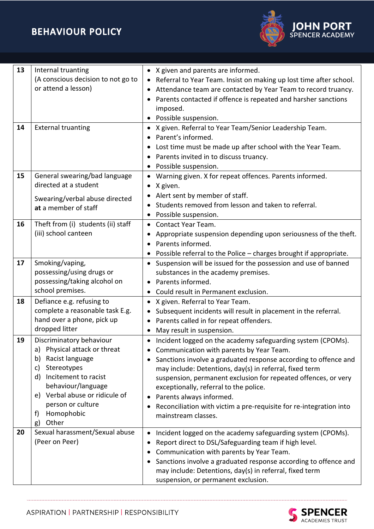

| 13 | Internal truanting                         | • X given and parents are informed.                                                                                       |
|----|--------------------------------------------|---------------------------------------------------------------------------------------------------------------------------|
|    | (A conscious decision to not go to         | Referral to Year Team. Insist on making up lost time after school.                                                        |
|    | or attend a lesson)                        | Attendance team are contacted by Year Team to record truancy.                                                             |
|    |                                            | Parents contacted if offence is repeated and harsher sanctions                                                            |
|    |                                            | imposed.                                                                                                                  |
|    |                                            | Possible suspension.                                                                                                      |
| 14 | <b>External truanting</b>                  | • X given. Referral to Year Team/Senior Leadership Team.                                                                  |
|    |                                            | Parent's informed.                                                                                                        |
|    |                                            | Lost time must be made up after school with the Year Team.                                                                |
|    |                                            | Parents invited in to discuss truancy.                                                                                    |
|    |                                            | Possible suspension.                                                                                                      |
| 15 | General swearing/bad language              | Warning given. X for repeat offences. Parents informed.<br>$\bullet$                                                      |
|    | directed at a student                      | X given.<br>$\bullet$                                                                                                     |
|    | Swearing/verbal abuse directed             | Alert sent by member of staff.<br>$\bullet$                                                                               |
|    | at a member of staff                       | Students removed from lesson and taken to referral.                                                                       |
|    |                                            | Possible suspension.<br>$\bullet$                                                                                         |
| 16 | Theft from (i) students (ii) staff         | <b>Contact Year Team.</b><br>$\bullet$                                                                                    |
|    | (iii) school canteen                       | Appropriate suspension depending upon seriousness of the theft.                                                           |
|    |                                            | Parents informed.<br>$\bullet$                                                                                            |
|    |                                            | Possible referral to the Police - charges brought if appropriate.                                                         |
| 17 | Smoking/vaping,                            | Suspension will be issued for the possession and use of banned<br>$\bullet$                                               |
|    | possessing/using drugs or                  | substances in the academy premises.                                                                                       |
|    | possessing/taking alcohol on               | • Parents informed.                                                                                                       |
|    | school premises.                           | Could result in Permanent exclusion.                                                                                      |
| 18 | Defiance e.g. refusing to                  | • X given. Referral to Year Team.                                                                                         |
|    | complete a reasonable task E.g.            | Subsequent incidents will result in placement in the referral.<br>$\bullet$                                               |
|    | hand over a phone, pick up                 | Parents called in for repeat offenders.                                                                                   |
|    | dropped litter                             | May result in suspension.<br>$\bullet$                                                                                    |
| 19 | Discriminatory behaviour                   | Incident logged on the academy safeguarding system (CPOMs).<br>$\bullet$                                                  |
|    | Physical attack or threat<br>a)            | Communication with parents by Year Team.<br>$\bullet$                                                                     |
|    | Racist language<br>b)<br>Stereotypes<br>C) | Sanctions involve a graduated response according to offence and                                                           |
|    | Incitement to racist<br>d)                 | may include: Detentions, day(s) in referral, fixed term<br>suspension, permanent exclusion for repeated offences, or very |
|    | behaviour/language                         | exceptionally, referral to the police.                                                                                    |
|    | e) Verbal abuse or ridicule of             | Parents always informed.                                                                                                  |
|    | person or culture                          | Reconciliation with victim a pre-requisite for re-integration into                                                        |
|    | Homophobic<br>f)                           | mainstream classes.                                                                                                       |
|    | Other<br>g)                                |                                                                                                                           |
| 20 | Sexual harassment/Sexual abuse             | Incident logged on the academy safeguarding system (CPOMs).<br>$\bullet$                                                  |
|    | (Peer on Peer)                             | Report direct to DSL/Safeguarding team if high level.<br>$\bullet$                                                        |
|    |                                            | Communication with parents by Year Team.                                                                                  |
|    |                                            | Sanctions involve a graduated response according to offence and                                                           |
|    |                                            | may include: Detentions, day(s) in referral, fixed term                                                                   |
|    |                                            | suspension, or permanent exclusion.                                                                                       |